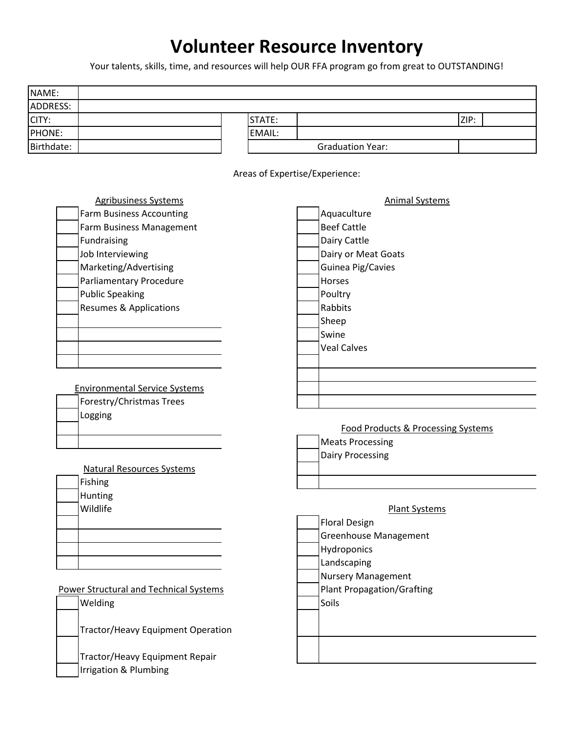## **Volunteer Resource Inventory**

Your talents, skills, time, and resources will help OUR FFA program go from great to OUTSTANDING!

| ADDRESS:<br>STATE:<br>ZIP:<br>CITY:<br>PHONE:<br>EMAIL:<br>Birthdate:<br><b>Graduation Year:</b><br>Areas of Expertise/Experience:<br><b>Animal Systems</b><br><b>Agribusiness Systems</b><br><b>Farm Business Accounting</b><br>Aquaculture<br><b>Beef Cattle</b><br>Farm Business Management<br>Fundraising<br>Dairy Cattle<br>Job Interviewing<br>Dairy or Meat Goats<br>Marketing/Advertising<br>Guinea Pig/Cavies<br>Parliamentary Procedure<br>Horses<br><b>Public Speaking</b><br>Poultry<br>Rabbits<br><b>Resumes &amp; Applications</b><br>Sheep<br>Swine<br><b>Veal Calves</b><br><b>Environmental Service Systems</b><br>Forestry/Christmas Trees<br>Logging<br><b>Food Products &amp; Processing Systems</b><br><b>Meats Processing</b><br><b>Dairy Processing</b><br><b>Natural Resources Systems</b><br>Fishing<br>Hunting<br>Wildlife<br><b>Plant Systems</b><br><b>Floral Design</b><br>Greenhouse Management<br>Hydroponics<br>Landscaping<br><b>Nursery Management</b> | NAME: |                                        |                                   |  |
|------------------------------------------------------------------------------------------------------------------------------------------------------------------------------------------------------------------------------------------------------------------------------------------------------------------------------------------------------------------------------------------------------------------------------------------------------------------------------------------------------------------------------------------------------------------------------------------------------------------------------------------------------------------------------------------------------------------------------------------------------------------------------------------------------------------------------------------------------------------------------------------------------------------------------------------------------------------------------------------|-------|----------------------------------------|-----------------------------------|--|
|                                                                                                                                                                                                                                                                                                                                                                                                                                                                                                                                                                                                                                                                                                                                                                                                                                                                                                                                                                                          |       |                                        |                                   |  |
|                                                                                                                                                                                                                                                                                                                                                                                                                                                                                                                                                                                                                                                                                                                                                                                                                                                                                                                                                                                          |       |                                        |                                   |  |
|                                                                                                                                                                                                                                                                                                                                                                                                                                                                                                                                                                                                                                                                                                                                                                                                                                                                                                                                                                                          |       |                                        |                                   |  |
|                                                                                                                                                                                                                                                                                                                                                                                                                                                                                                                                                                                                                                                                                                                                                                                                                                                                                                                                                                                          |       |                                        |                                   |  |
|                                                                                                                                                                                                                                                                                                                                                                                                                                                                                                                                                                                                                                                                                                                                                                                                                                                                                                                                                                                          |       |                                        |                                   |  |
|                                                                                                                                                                                                                                                                                                                                                                                                                                                                                                                                                                                                                                                                                                                                                                                                                                                                                                                                                                                          |       |                                        |                                   |  |
|                                                                                                                                                                                                                                                                                                                                                                                                                                                                                                                                                                                                                                                                                                                                                                                                                                                                                                                                                                                          |       |                                        |                                   |  |
|                                                                                                                                                                                                                                                                                                                                                                                                                                                                                                                                                                                                                                                                                                                                                                                                                                                                                                                                                                                          |       |                                        |                                   |  |
|                                                                                                                                                                                                                                                                                                                                                                                                                                                                                                                                                                                                                                                                                                                                                                                                                                                                                                                                                                                          |       |                                        |                                   |  |
|                                                                                                                                                                                                                                                                                                                                                                                                                                                                                                                                                                                                                                                                                                                                                                                                                                                                                                                                                                                          |       |                                        |                                   |  |
|                                                                                                                                                                                                                                                                                                                                                                                                                                                                                                                                                                                                                                                                                                                                                                                                                                                                                                                                                                                          |       |                                        |                                   |  |
|                                                                                                                                                                                                                                                                                                                                                                                                                                                                                                                                                                                                                                                                                                                                                                                                                                                                                                                                                                                          |       |                                        |                                   |  |
|                                                                                                                                                                                                                                                                                                                                                                                                                                                                                                                                                                                                                                                                                                                                                                                                                                                                                                                                                                                          |       |                                        |                                   |  |
|                                                                                                                                                                                                                                                                                                                                                                                                                                                                                                                                                                                                                                                                                                                                                                                                                                                                                                                                                                                          |       |                                        |                                   |  |
|                                                                                                                                                                                                                                                                                                                                                                                                                                                                                                                                                                                                                                                                                                                                                                                                                                                                                                                                                                                          |       |                                        |                                   |  |
|                                                                                                                                                                                                                                                                                                                                                                                                                                                                                                                                                                                                                                                                                                                                                                                                                                                                                                                                                                                          |       |                                        |                                   |  |
|                                                                                                                                                                                                                                                                                                                                                                                                                                                                                                                                                                                                                                                                                                                                                                                                                                                                                                                                                                                          |       |                                        |                                   |  |
|                                                                                                                                                                                                                                                                                                                                                                                                                                                                                                                                                                                                                                                                                                                                                                                                                                                                                                                                                                                          |       |                                        |                                   |  |
|                                                                                                                                                                                                                                                                                                                                                                                                                                                                                                                                                                                                                                                                                                                                                                                                                                                                                                                                                                                          |       |                                        |                                   |  |
|                                                                                                                                                                                                                                                                                                                                                                                                                                                                                                                                                                                                                                                                                                                                                                                                                                                                                                                                                                                          |       |                                        |                                   |  |
|                                                                                                                                                                                                                                                                                                                                                                                                                                                                                                                                                                                                                                                                                                                                                                                                                                                                                                                                                                                          |       |                                        |                                   |  |
|                                                                                                                                                                                                                                                                                                                                                                                                                                                                                                                                                                                                                                                                                                                                                                                                                                                                                                                                                                                          |       |                                        |                                   |  |
|                                                                                                                                                                                                                                                                                                                                                                                                                                                                                                                                                                                                                                                                                                                                                                                                                                                                                                                                                                                          |       |                                        |                                   |  |
|                                                                                                                                                                                                                                                                                                                                                                                                                                                                                                                                                                                                                                                                                                                                                                                                                                                                                                                                                                                          |       |                                        |                                   |  |
|                                                                                                                                                                                                                                                                                                                                                                                                                                                                                                                                                                                                                                                                                                                                                                                                                                                                                                                                                                                          |       |                                        |                                   |  |
|                                                                                                                                                                                                                                                                                                                                                                                                                                                                                                                                                                                                                                                                                                                                                                                                                                                                                                                                                                                          |       |                                        |                                   |  |
|                                                                                                                                                                                                                                                                                                                                                                                                                                                                                                                                                                                                                                                                                                                                                                                                                                                                                                                                                                                          |       |                                        |                                   |  |
|                                                                                                                                                                                                                                                                                                                                                                                                                                                                                                                                                                                                                                                                                                                                                                                                                                                                                                                                                                                          |       |                                        |                                   |  |
|                                                                                                                                                                                                                                                                                                                                                                                                                                                                                                                                                                                                                                                                                                                                                                                                                                                                                                                                                                                          |       |                                        |                                   |  |
|                                                                                                                                                                                                                                                                                                                                                                                                                                                                                                                                                                                                                                                                                                                                                                                                                                                                                                                                                                                          |       |                                        |                                   |  |
|                                                                                                                                                                                                                                                                                                                                                                                                                                                                                                                                                                                                                                                                                                                                                                                                                                                                                                                                                                                          |       |                                        |                                   |  |
|                                                                                                                                                                                                                                                                                                                                                                                                                                                                                                                                                                                                                                                                                                                                                                                                                                                                                                                                                                                          |       |                                        |                                   |  |
|                                                                                                                                                                                                                                                                                                                                                                                                                                                                                                                                                                                                                                                                                                                                                                                                                                                                                                                                                                                          |       |                                        |                                   |  |
|                                                                                                                                                                                                                                                                                                                                                                                                                                                                                                                                                                                                                                                                                                                                                                                                                                                                                                                                                                                          |       |                                        |                                   |  |
|                                                                                                                                                                                                                                                                                                                                                                                                                                                                                                                                                                                                                                                                                                                                                                                                                                                                                                                                                                                          |       |                                        |                                   |  |
|                                                                                                                                                                                                                                                                                                                                                                                                                                                                                                                                                                                                                                                                                                                                                                                                                                                                                                                                                                                          |       |                                        |                                   |  |
|                                                                                                                                                                                                                                                                                                                                                                                                                                                                                                                                                                                                                                                                                                                                                                                                                                                                                                                                                                                          |       | Power Structural and Technical Systems | <b>Plant Propagation/Grafting</b> |  |
| Welding<br>Soils                                                                                                                                                                                                                                                                                                                                                                                                                                                                                                                                                                                                                                                                                                                                                                                                                                                                                                                                                                         |       |                                        |                                   |  |
|                                                                                                                                                                                                                                                                                                                                                                                                                                                                                                                                                                                                                                                                                                                                                                                                                                                                                                                                                                                          |       |                                        |                                   |  |
| <b>Tractor/Heavy Equipment Operation</b>                                                                                                                                                                                                                                                                                                                                                                                                                                                                                                                                                                                                                                                                                                                                                                                                                                                                                                                                                 |       |                                        |                                   |  |
|                                                                                                                                                                                                                                                                                                                                                                                                                                                                                                                                                                                                                                                                                                                                                                                                                                                                                                                                                                                          |       |                                        |                                   |  |
| Tractor/Heavy Equipment Repair                                                                                                                                                                                                                                                                                                                                                                                                                                                                                                                                                                                                                                                                                                                                                                                                                                                                                                                                                           |       |                                        |                                   |  |
| Irrigation & Plumbing                                                                                                                                                                                                                                                                                                                                                                                                                                                                                                                                                                                                                                                                                                                                                                                                                                                                                                                                                                    |       |                                        |                                   |  |